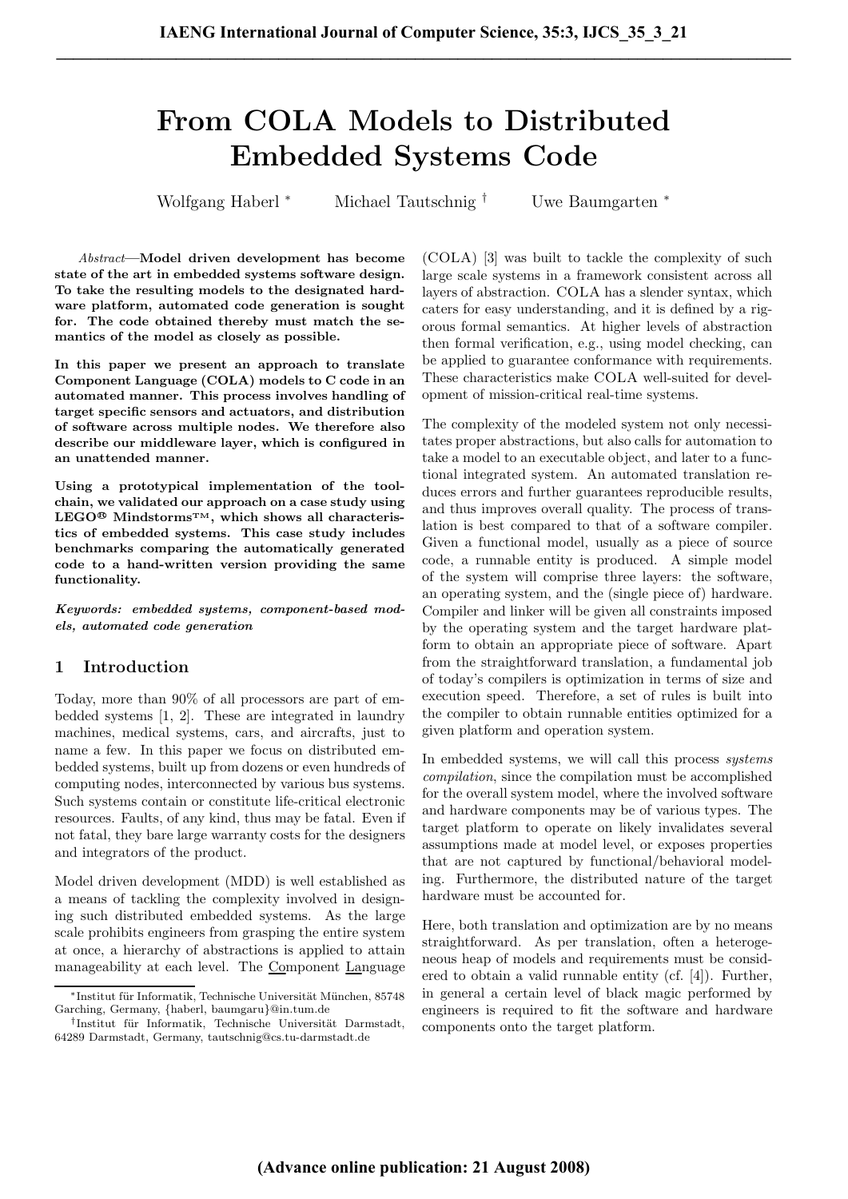# **From COLA Models to Distributed Embedded Systems Code**

Wolfgang Haberl <sup>∗</sup> Michael Tautschnig † Uwe Baumgarten <sup>∗</sup>

Abstract**—Model driven development has become state of the art in embedded systems software design. To take the resulting models to the designated hardware platform, automated code generation is sought for. The code obtained thereby must match the semantics of the model as closely as possible.**

**In this paper we present an approach to translate Component Language (COLA) models to C code in an automated manner. This process involves handling of target specific sensors and actuators, and distribution of software across multiple nodes. We therefore also describe our middleware layer, which is configured in an unattended manner.**

**Using a prototypical implementation of the toolchain, we validated our approach on a case study using LEGO-<sup>R</sup> MindstormsTM, which shows all characteristics of embedded systems. This case study includes benchmarks comparing the automatically generated code to a hand-written version providing the same functionality.**

**Keywords: embedded systems, component-based models, automated code generation**

# **1 Introduction**

Today, more than 90% of all processors are part of embedded systems [1, 2]. These are integrated in laundry machines, medical systems, cars, and aircrafts, just to name a few. In this paper we focus on distributed embedded systems, built up from dozens or even hundreds of computing nodes, interconnected by various bus systems. Such systems contain or constitute life-critical electronic resources. Faults, of any kind, thus may be fatal. Even if not fatal, they bare large warranty costs for the designers and integrators of the product.

Model driven development (MDD) is well established as a means of tackling the complexity involved in designing such distributed embedded systems. As the large scale prohibits engineers from grasping the entire system at once, a hierarchy of abstractions is applied to attain manageability at each level. The Component Language (COLA) [3] was built to tackle the complexity of such large scale systems in a framework consistent across all layers of abstraction. COLA has a slender syntax, which caters for easy understanding, and it is defined by a rigorous formal semantics. At higher levels of abstraction then formal verification, e.g., using model checking, can be applied to guarantee conformance with requirements. These characteristics make COLA well-suited for development of mission-critical real-time systems.

The complexity of the modeled system not only necessitates proper abstractions, but also calls for automation to take a model to an executable object, and later to a functional integrated system. An automated translation reduces errors and further guarantees reproducible results, and thus improves overall quality. The process of translation is best compared to that of a software compiler. Given a functional model, usually as a piece of source code, a runnable entity is produced. A simple model of the system will comprise three layers: the software, an operating system, and the (single piece of) hardware. Compiler and linker will be given all constraints imposed by the operating system and the target hardware platform to obtain an appropriate piece of software. Apart from the straightforward translation, a fundamental job of today's compilers is optimization in terms of size and execution speed. Therefore, a set of rules is built into the compiler to obtain runnable entities optimized for a given platform and operation system.

In embedded systems, we will call this process systems compilation, since the compilation must be accomplished for the overall system model, where the involved software and hardware components may be of various types. The target platform to operate on likely invalidates several assumptions made at model level, or exposes properties that are not captured by functional/behavioral modeling. Furthermore, the distributed nature of the target hardware must be accounted for.

Here, both translation and optimization are by no means straightforward. As per translation, often a heterogeneous heap of models and requirements must be considered to obtain a valid runnable entity (cf. [4]). Further, in general a certain level of black magic performed by engineers is required to fit the software and hardware components onto the target platform.

<sup>∗</sup>Institut f¨ur Informatik, Technische Universit¨at M¨unchen, 85748 Garching, Germany, {haberl, baumgaru}@in.tum.de

<sup>&</sup>lt;sup>†</sup>Institut für Informatik, Technische Universität Darmstadt, 64289 Darmstadt, Germany, tautschnig@cs.tu-darmstadt.de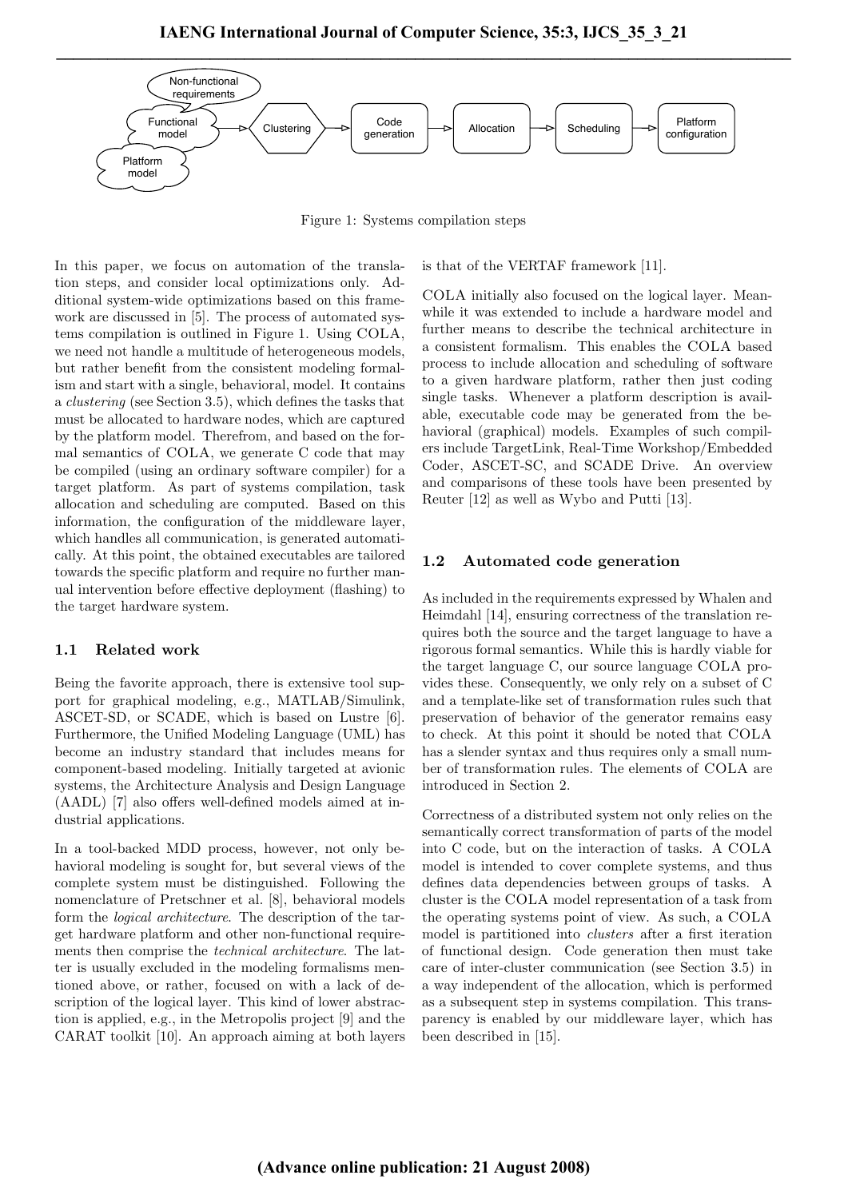

Figure 1: Systems compilation steps

In this paper, we focus on automation of the translation steps, and consider local optimizations only. Additional system-wide optimizations based on this framework are discussed in [5]. The process of automated systems compilation is outlined in Figure 1. Using COLA, we need not handle a multitude of heterogeneous models, but rather benefit from the consistent modeling formalism and start with a single, behavioral, model. It contains a clustering (see Section 3.5), which defines the tasks that must be allocated to hardware nodes, which are captured by the platform model. Therefrom, and based on the formal semantics of COLA, we generate C code that may be compiled (using an ordinary software compiler) for a target platform. As part of systems compilation, task allocation and scheduling are computed. Based on this information, the configuration of the middleware layer, which handles all communication, is generated automatically. At this point, the obtained executables are tailored towards the specific platform and require no further manual intervention before effective deployment (flashing) to the target hardware system.

#### **1.1 Related work**

Being the favorite approach, there is extensive tool support for graphical modeling, e.g., MATLAB/Simulink, ASCET-SD, or SCADE, which is based on Lustre [6]. Furthermore, the Unified Modeling Language (UML) has become an industry standard that includes means for component-based modeling. Initially targeted at avionic systems, the Architecture Analysis and Design Language (AADL) [7] also offers well-defined models aimed at industrial applications.

In a tool-backed MDD process, however, not only behavioral modeling is sought for, but several views of the complete system must be distinguished. Following the nomenclature of Pretschner et al. [8], behavioral models form the logical architecture. The description of the target hardware platform and other non-functional requirements then comprise the technical architecture. The latter is usually excluded in the modeling formalisms mentioned above, or rather, focused on with a lack of description of the logical layer. This kind of lower abstraction is applied, e.g., in the Metropolis project [9] and the CARAT toolkit [10]. An approach aiming at both layers is that of the VERTAF framework [11].

COLA initially also focused on the logical layer. Meanwhile it was extended to include a hardware model and further means to describe the technical architecture in a consistent formalism. This enables the COLA based process to include allocation and scheduling of software to a given hardware platform, rather then just coding single tasks. Whenever a platform description is available, executable code may be generated from the behavioral (graphical) models. Examples of such compilers include TargetLink, Real-Time Workshop/Embedded Coder, ASCET-SC, and SCADE Drive. An overview and comparisons of these tools have been presented by Reuter [12] as well as Wybo and Putti [13].

#### **1.2 Automated code generation**

As included in the requirements expressed by Whalen and Heimdahl [14], ensuring correctness of the translation requires both the source and the target language to have a rigorous formal semantics. While this is hardly viable for the target language C, our source language COLA provides these. Consequently, we only rely on a subset of C and a template-like set of transformation rules such that preservation of behavior of the generator remains easy to check. At this point it should be noted that COLA has a slender syntax and thus requires only a small number of transformation rules. The elements of COLA are introduced in Section 2.

Correctness of a distributed system not only relies on the semantically correct transformation of parts of the model into C code, but on the interaction of tasks. A COLA model is intended to cover complete systems, and thus defines data dependencies between groups of tasks. A cluster is the COLA model representation of a task from the operating systems point of view. As such, a COLA model is partitioned into *clusters* after a first iteration of functional design. Code generation then must take care of inter-cluster communication (see Section 3.5) in a way independent of the allocation, which is performed as a subsequent step in systems compilation. This transparency is enabled by our middleware layer, which has been described in [15].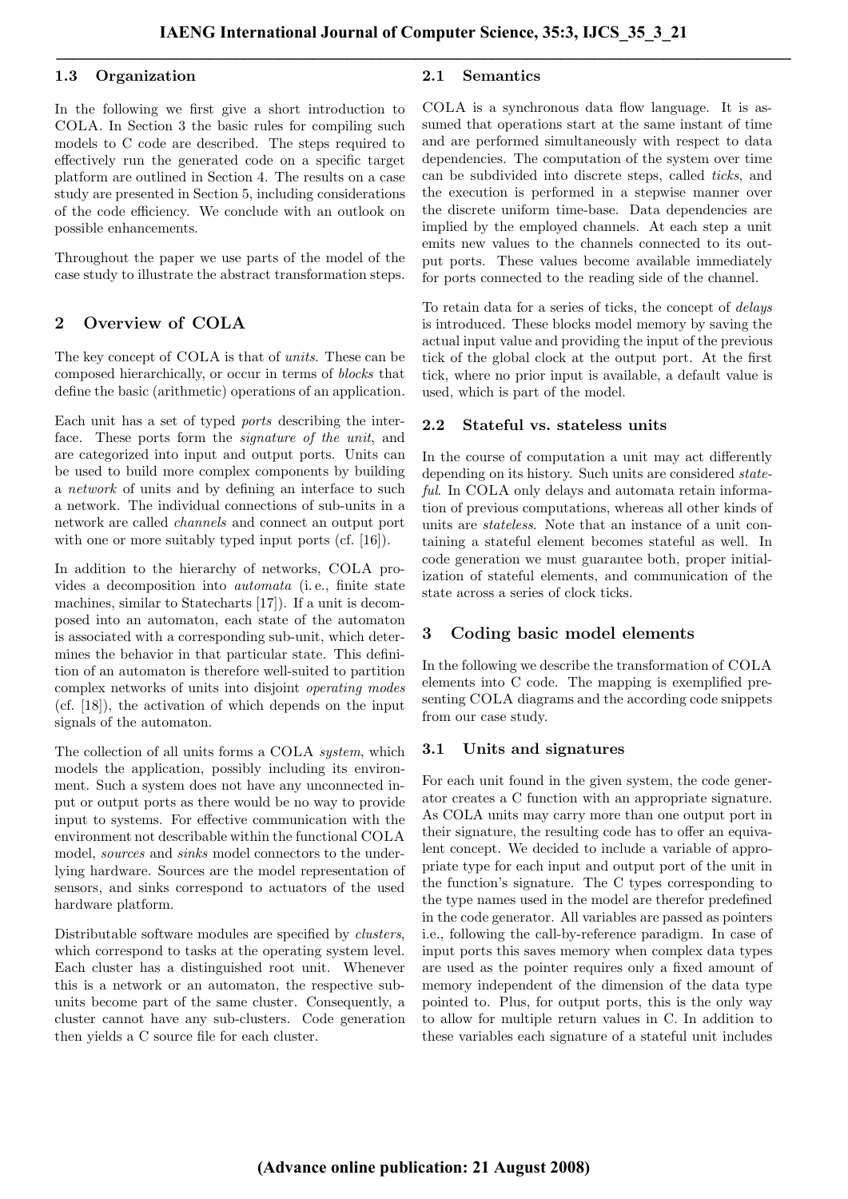# **1.3 Organization**

In the following we first give a short introduction to COLA. In Section 3 the basic rules for compiling such models to C code are described. The steps required to effectively run the generated code on a specific target platform are outlined in Section 4. The results on a case study are presented in Section 5, including considerations of the code efficiency. We conclude with an outlook on possible enhancements.

Throughout the paper we use parts of the model of the case study to illustrate the abstract transformation steps.

# **2 Overview of COLA**

The key concept of COLA is that of units. These can be composed hierarchically, or occur in terms of blocks that define the basic (arithmetic) operations of an application.

Each unit has a set of typed ports describing the interface. These ports form the signature of the unit, and are categorized into input and output ports. Units can be used to build more complex components by building a network of units and by defining an interface to such a network. The individual connections of sub-units in a network are called channels and connect an output port with one or more suitably typed input ports (cf. [16]).

In addition to the hierarchy of networks, COLA provides a decomposition into automata (i. e., finite state machines, similar to Statecharts [17]). If a unit is decomposed into an automaton, each state of the automaton is associated with a corresponding sub-unit, which determines the behavior in that particular state. This definition of an automaton is therefore well-suited to partition complex networks of units into disjoint operating modes (cf. [18]), the activation of which depends on the input signals of the automaton.

The collection of all units forms a COLA system, which models the application, possibly including its environment. Such a system does not have any unconnected input or output ports as there would be no way to provide input to systems. For effective communication with the environment not describable within the functional COLA model, sources and sinks model connectors to the underlying hardware. Sources are the model representation of sensors, and sinks correspond to actuators of the used hardware platform.

Distributable software modules are specified by clusters, which correspond to tasks at the operating system level. Each cluster has a distinguished root unit. Whenever this is a network or an automaton, the respective subunits become part of the same cluster. Consequently, a cluster cannot have any sub-clusters. Code generation then yields a C source file for each cluster.

# **2.1 Semantics**

COLA is a synchronous data flow language. It is assumed that operations start at the same instant of time and are performed simultaneously with respect to data dependencies. The computation of the system over time can be subdivided into discrete steps, called ticks, and the execution is performed in a stepwise manner over the discrete uniform time-base. Data dependencies are implied by the employed channels. At each step a unit emits new values to the channels connected to its output ports. These values become available immediately for ports connected to the reading side of the channel.

To retain data for a series of ticks, the concept of delays is introduced. These blocks model memory by saving the actual input value and providing the input of the previous tick of the global clock at the output port. At the first tick, where no prior input is available, a default value is used, which is part of the model.

#### **2.2 Stateful vs. stateless units**

In the course of computation a unit may act differently depending on its history. Such units are considered stateful. In COLA only delays and automata retain information of previous computations, whereas all other kinds of units are stateless. Note that an instance of a unit containing a stateful element becomes stateful as well. In code generation we must guarantee both, proper initialization of stateful elements, and communication of the state across a series of clock ticks.

# **3 Coding basic model elements**

In the following we describe the transformation of COLA elements into C code. The mapping is exemplified presenting COLA diagrams and the according code snippets from our case study.

#### **3.1 Units and signatures**

For each unit found in the given system, the code generator creates a C function with an appropriate signature. As COLA units may carry more than one output port in their signature, the resulting code has to offer an equivalent concept. We decided to include a variable of appropriate type for each input and output port of the unit in the function's signature. The C types corresponding to the type names used in the model are therefor predefined in the code generator. All variables are passed as pointers i.e., following the call-by-reference paradigm. In case of input ports this saves memory when complex data types are used as the pointer requires only a fixed amount of memory independent of the dimension of the data type pointed to. Plus, for output ports, this is the only way to allow for multiple return values in C. In addition to these variables each signature of a stateful unit includes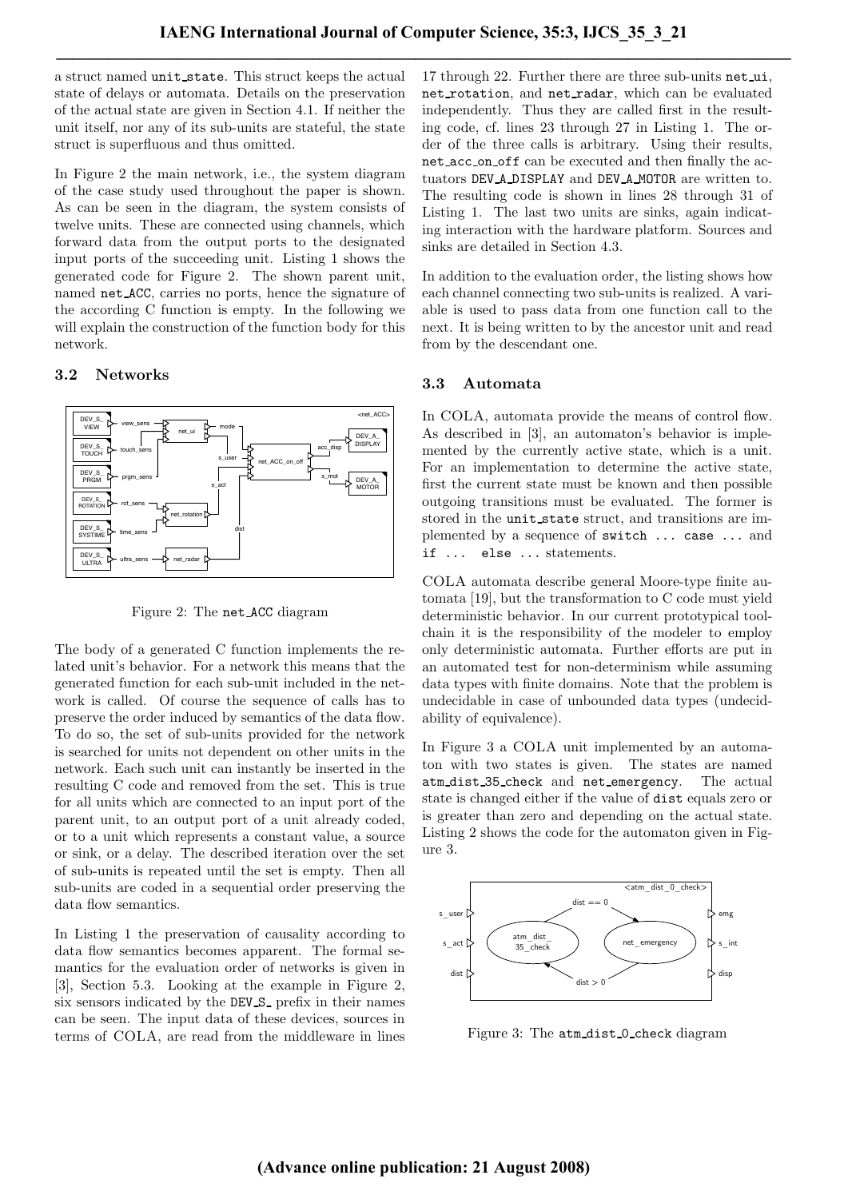a struct named unit state. This struct keeps the actual state of delays or automata. Details on the preservation of the actual state are given in Section 4.1. If neither the unit itself, nor any of its sub-units are stateful, the state struct is superfluous and thus omitted.

In Figure 2 the main network, i.e., the system diagram of the case study used throughout the paper is shown. As can be seen in the diagram, the system consists of twelve units. These are connected using channels, which forward data from the output ports to the designated input ports of the succeeding unit. Listing 1 shows the generated code for Figure 2. The shown parent unit, named net ACC, carries no ports, hence the signature of the according C function is empty. In the following we will explain the construction of the function body for this network.

# **3.2 Networks**



Figure 2: The net ACC diagram

The body of a generated C function implements the related unit's behavior. For a network this means that the generated function for each sub-unit included in the network is called. Of course the sequence of calls has to preserve the order induced by semantics of the data flow. To do so, the set of sub-units provided for the network is searched for units not dependent on other units in the network. Each such unit can instantly be inserted in the resulting C code and removed from the set. This is true for all units which are connected to an input port of the parent unit, to an output port of a unit already coded, or to a unit which represents a constant value, a source or sink, or a delay. The described iteration over the set of sub-units is repeated until the set is empty. Then all sub-units are coded in a sequential order preserving the data flow semantics.

In Listing 1 the preservation of causality according to data flow semantics becomes apparent. The formal semantics for the evaluation order of networks is given in [3], Section 5.3. Looking at the example in Figure 2, six sensors indicated by the DEV<sub>S</sub> prefix in their names can be seen. The input data of these devices, sources in terms of COLA, are read from the middleware in lines

17 through 22. Further there are three sub-units net ui, net rotation, and net radar, which can be evaluated independently. Thus they are called first in the resulting code, cf. lines 23 through 27 in Listing 1. The order of the three calls is arbitrary. Using their results, net acc on off can be executed and then finally the actuators DEV A DISPLAY and DEV A MOTOR are written to. The resulting code is shown in lines 28 through 31 of Listing 1. The last two units are sinks, again indicating interaction with the hardware platform. Sources and sinks are detailed in Section 4.3.

In addition to the evaluation order, the listing shows how each channel connecting two sub-units is realized. A variable is used to pass data from one function call to the next. It is being written to by the ancestor unit and read from by the descendant one.

# **3.3 Automata**

In COLA, automata provide the means of control flow. As described in [3], an automaton's behavior is implemented by the currently active state, which is a unit. For an implementation to determine the active state, first the current state must be known and then possible outgoing transitions must be evaluated. The former is stored in the unit state struct, and transitions are implemented by a sequence of switch ... case ... and if ... else ... statements.

COLA automata describe general Moore-type finite automata [19], but the transformation to C code must yield deterministic behavior. In our current prototypical toolchain it is the responsibility of the modeler to employ only deterministic automata. Further efforts are put in an automated test for non-determinism while assuming data types with finite domains. Note that the problem is undecidable in case of unbounded data types (undecidability of equivalence).

In Figure 3 a COLA unit implemented by an automaton with two states is given. The states are named atm dist 35 check and net emergency. The actual state is changed either if the value of dist equals zero or is greater than zero and depending on the actual state. Listing 2 shows the code for the automaton given in Figure 3.



Figure 3: The atm dist 0 check diagram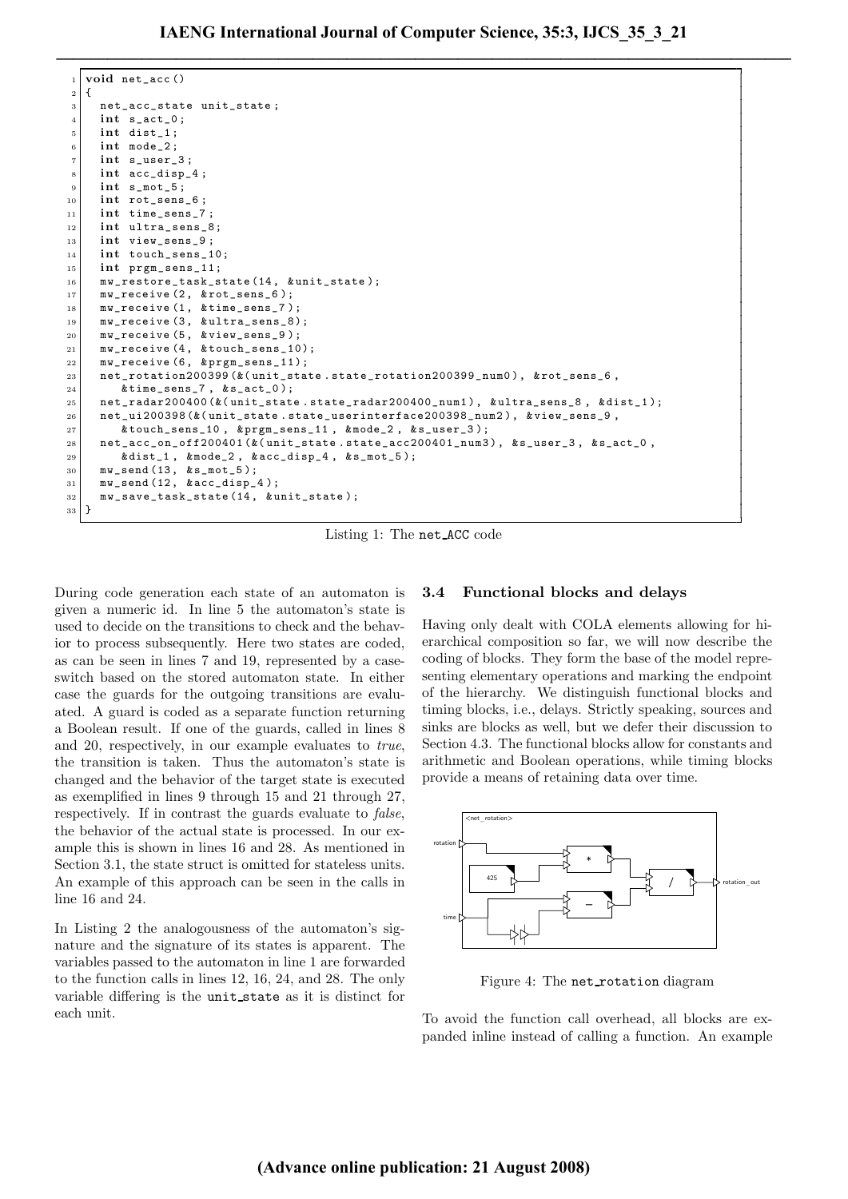```
1 void net_acc ()
2 {
    net_acc_state unit_state;
    4 int s_act_0;
    5 int dist_1;
    6 int mode_2;
    7 int s_user_3 ;
    8 int acc_disp_4 ;
    9 int s_mot_5;
10 int rot_sens_6 ;
11 int time_sens_7 ;
12 int ultra_sens_8;
13 int view_sens_9 ;
14 int touch_sens_10;
15 int prgm_sens_11;
16 mw_restore_task_state(14, & unit_state );
17 mw_receive (2, &rot_sens_6);
18 mw_receive (1, &time_sens_7);
19 mw_receive (3, &ultra_sens_8);
20 mw_receive (5, &view_sens_9 );
21 mw_receive (4, & touch_sens_10);
22 mw_receive (6, & prgm_sens_11);
23 net_rotation200399(&(unit_state.state_rotation200399_num0), & rot_sens_6,
24 &time_sens_7 , &s_act_0 );
25 net_radar200400(&( unit_state . state_radar200400_num1), & ultra_sens_8 , &dist_1 );
26 net_ui200398(&( unit_state . state_userinterface200398_num2), & view_sens_9 ,
27 &touch_sens_10 , &prgm_sens_11 , & mode_2 , & s_user_3 );
28 net_acc_on_off200401(&( unit_state .state_acc200401_num3), & s_user_3 , & s_act_0 ,
29 &dist_1 , &mode_2 , & acc_disp_4 , &s_mot_5 );
30 mw_send (13, &s_mot_5 );
31 mw_send (12, &acc_disp_4 );
32 mw_save_task_state(14, & unit_state );
33 }
```
Listing 1: The net ACC code

During code generation each state of an automaton is given a numeric id. In line 5 the automaton's state is used to decide on the transitions to check and the behavior to process subsequently. Here two states are coded, as can be seen in lines 7 and 19, represented by a caseswitch based on the stored automaton state. In either case the guards for the outgoing transitions are evaluated. A guard is coded as a separate function returning a Boolean result. If one of the guards, called in lines 8 and 20, respectively, in our example evaluates to true, the transition is taken. Thus the automaton's state is changed and the behavior of the target state is executed as exemplified in lines 9 through 15 and 21 through 27, respectively. If in contrast the guards evaluate to false, the behavior of the actual state is processed. In our example this is shown in lines 16 and 28. As mentioned in Section 3.1, the state struct is omitted for stateless units. An example of this approach can be seen in the calls in line 16 and 24.

In Listing 2 the analogousness of the automaton's signature and the signature of its states is apparent. The variables passed to the automaton in line 1 are forwarded to the function calls in lines 12, 16, 24, and 28. The only variable differing is the unit state as it is distinct for each unit.

# **3.4 Functional blocks and delays**

Having only dealt with COLA elements allowing for hierarchical composition so far, we will now describe the coding of blocks. They form the base of the model representing elementary operations and marking the endpoint of the hierarchy. We distinguish functional blocks and timing blocks, i.e., delays. Strictly speaking, sources and sinks are blocks as well, but we defer their discussion to Section 4.3. The functional blocks allow for constants and arithmetic and Boolean operations, while timing blocks provide a means of retaining data over time.



Figure 4: The net rotation diagram

To avoid the function call overhead, all blocks are expanded inline instead of calling a function. An example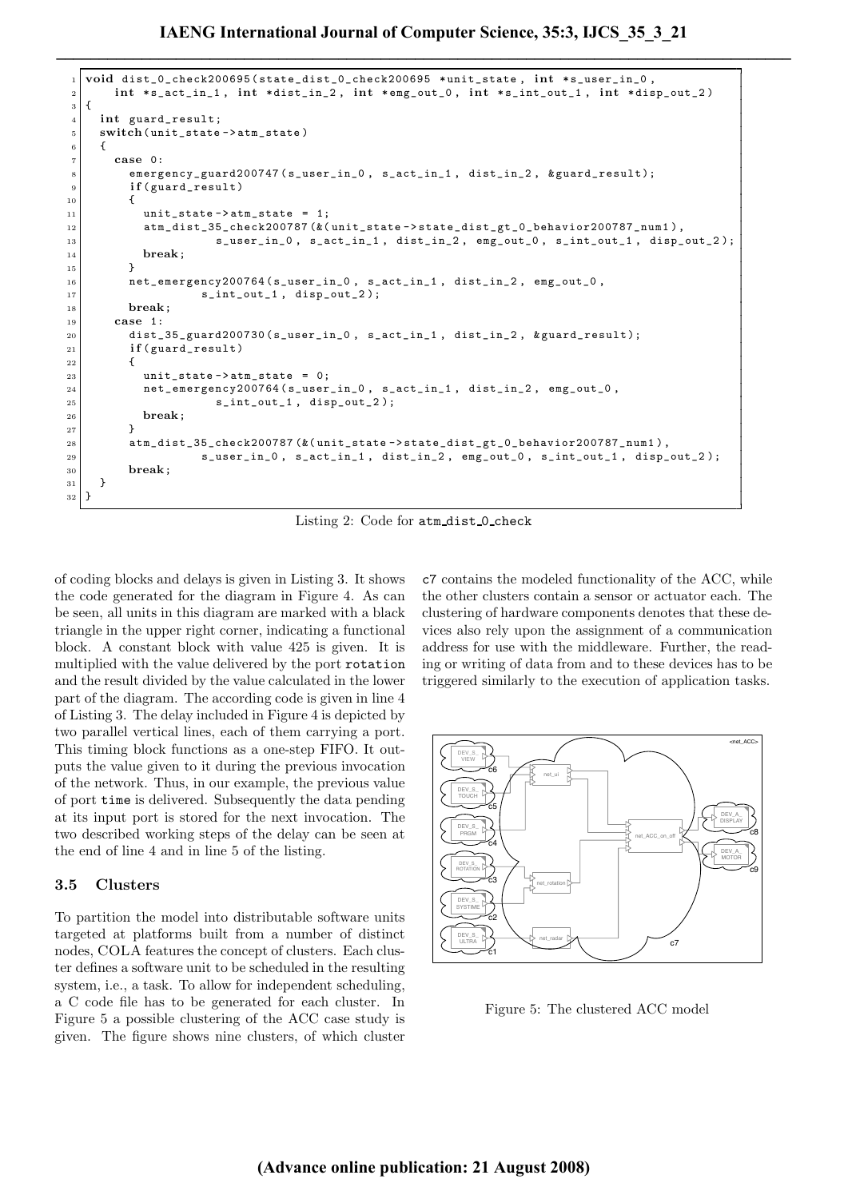**IAENG International Journal of Computer Science, 35:3, IJCS\_35\_3\_21 \_\_\_\_\_\_\_\_\_\_\_\_\_\_\_\_\_\_\_\_\_\_\_\_\_\_\_\_\_\_\_\_\_\_\_\_\_\_\_\_\_\_\_\_\_\_\_\_\_\_\_\_\_\_\_\_\_\_\_\_\_\_\_\_\_\_\_\_\_\_\_\_\_\_\_\_\_\_\_\_\_\_\_\_\_\_**

```
1 void dist_0_check200695(state_dist_0_check200695 * unit_state , int *s_user_in_0 ,
      2 int *s_act_in_1 , int *dist_in_2 , int *emg_out_0 , int *s_int_out_1 , int *disp_out_2 )
  \mathfrak{c}4 int guard_result;
5 switch(unit_state ->atm_state )
6 {
7 case 0:
        emergency_guard200747(s_user_in_0, s_act_in_1, dist_in_2, &guard_result);
        9 i f (guard_result)
10 \quad 5 \quad 411 unit\_state -\lambda atm\_state = 1;12 atm_dist_35_check200787 (&(unit_state->state_dist_gt_0_behavior200787_num1),
13 s_user_in_0, s_act_in_1, dist_in_2, emg_out_0, s_int_out_1, disp_out_2);
14 break;
15 }
16 net_emergency200764(s_user_in_0, s_act_in_1, dist_in_2, emg_out_0,
17 s_int_out_1, disp_out_2);
18 break;
19 case 1:
20 dist_35_guard200730(s_user_in_0, s_act_in_1, dist_in_2, & guard_result);
21 i f (guard_result)
22 {
23 unit_state \rightarrow atm_state = 0;
24 net_emergency200764(s_user_in_0, s_act_in_1, dist_in_2, emg_out_0,
25 s_int_out_1, disp_out_2);
\begin{array}{c} 26 \\ 27 \end{array} break;
27 }
28 atm_dist_35_check200787 (&(unit_state->state_dist_gt_0_behavior200787_num1),
29 s_user_in_0, s_act_in_1, dist_in_2, emg_out_0, s_int_out_1, disp_out_2);
30 break;
31 \quad \begin{array}{c} \end{array}32 }
```
Listing 2: Code for atm dist 0 check

of coding blocks and delays is given in Listing 3. It shows the code generated for the diagram in Figure 4. As can be seen, all units in this diagram are marked with a black triangle in the upper right corner, indicating a functional block. A constant block with value 425 is given. It is multiplied with the value delivered by the port rotation and the result divided by the value calculated in the lower part of the diagram. The according code is given in line 4 of Listing 3. The delay included in Figure 4 is depicted by two parallel vertical lines, each of them carrying a port. This timing block functions as a one-step FIFO. It outputs the value given to it during the previous invocation of the network. Thus, in our example, the previous value of port time is delivered. Subsequently the data pending at its input port is stored for the next invocation. The two described working steps of the delay can be seen at the end of line 4 and in line 5 of the listing.

#### **3.5 Clusters**

To partition the model into distributable software units targeted at platforms built from a number of distinct nodes, COLA features the concept of clusters. Each cluster defines a software unit to be scheduled in the resulting system, i.e., a task. To allow for independent scheduling, a C code file has to be generated for each cluster. In Figure 5 a possible clustering of the ACC case study is given. The figure shows nine clusters, of which cluster c7 contains the modeled functionality of the ACC, while the other clusters contain a sensor or actuator each. The clustering of hardware components denotes that these devices also rely upon the assignment of a communication address for use with the middleware. Further, the reading or writing of data from and to these devices has to be triggered similarly to the execution of application tasks.



Figure 5: The clustered ACC model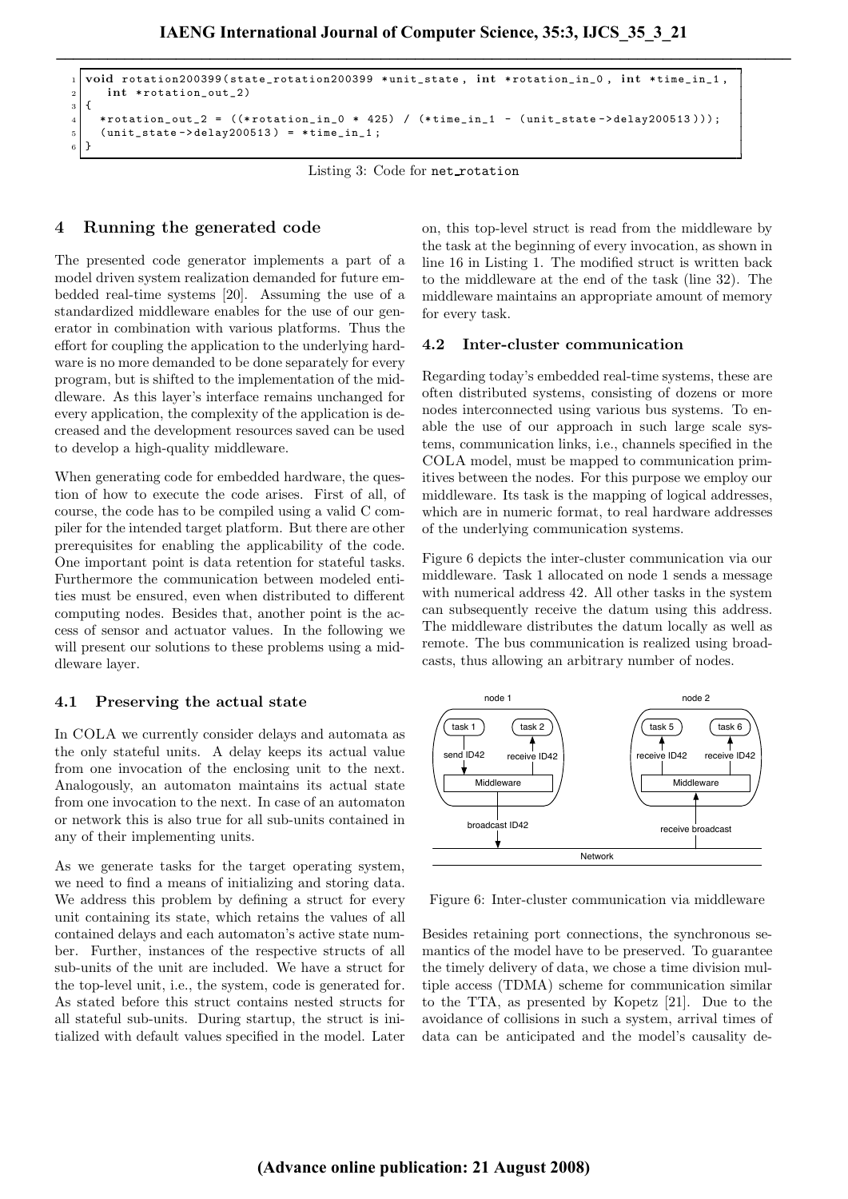```
1 void rotation200399(state_rotation200399 * unit_state , int *rotation_in_0 , int *time_in_1 ,
     2 int *rotation_out_2)
 \mathfrak{c}*rotation_out_2 = ((*rotation_in_0 * 425) / (*time_in_1 - (unit\_state -> delay200513)));
    (unit\_state -> delay200513 ) = *time_in_1 ;6 }
```
Listing 3: Code for net rotation

#### **4 Running the generated code**

The presented code generator implements a part of a model driven system realization demanded for future embedded real-time systems [20]. Assuming the use of a standardized middleware enables for the use of our generator in combination with various platforms. Thus the effort for coupling the application to the underlying hardware is no more demanded to be done separately for every program, but is shifted to the implementation of the middleware. As this layer's interface remains unchanged for every application, the complexity of the application is decreased and the development resources saved can be used to develop a high-quality middleware.

When generating code for embedded hardware, the question of how to execute the code arises. First of all, of course, the code has to be compiled using a valid C compiler for the intended target platform. But there are other prerequisites for enabling the applicability of the code. One important point is data retention for stateful tasks. Furthermore the communication between modeled entities must be ensured, even when distributed to different computing nodes. Besides that, another point is the access of sensor and actuator values. In the following we will present our solutions to these problems using a middleware layer.

#### **4.1 Preserving the actual state**

In COLA we currently consider delays and automata as the only stateful units. A delay keeps its actual value from one invocation of the enclosing unit to the next. Analogously, an automaton maintains its actual state from one invocation to the next. In case of an automaton or network this is also true for all sub-units contained in any of their implementing units.

As we generate tasks for the target operating system, we need to find a means of initializing and storing data. We address this problem by defining a struct for every unit containing its state, which retains the values of all contained delays and each automaton's active state number. Further, instances of the respective structs of all sub-units of the unit are included. We have a struct for the top-level unit, i.e., the system, code is generated for. As stated before this struct contains nested structs for all stateful sub-units. During startup, the struct is initialized with default values specified in the model. Later on, this top-level struct is read from the middleware by the task at the beginning of every invocation, as shown in line 16 in Listing 1. The modified struct is written back to the middleware at the end of the task (line 32). The middleware maintains an appropriate amount of memory for every task.

#### **4.2 Inter-cluster communication**

Regarding today's embedded real-time systems, these are often distributed systems, consisting of dozens or more nodes interconnected using various bus systems. To enable the use of our approach in such large scale systems, communication links, i.e., channels specified in the COLA model, must be mapped to communication primitives between the nodes. For this purpose we employ our middleware. Its task is the mapping of logical addresses, which are in numeric format, to real hardware addresses of the underlying communication systems.

Figure 6 depicts the inter-cluster communication via our middleware. Task 1 allocated on node 1 sends a message with numerical address 42. All other tasks in the system can subsequently receive the datum using this address. The middleware distributes the datum locally as well as remote. The bus communication is realized using broadcasts, thus allowing an arbitrary number of nodes.



Figure 6: Inter-cluster communication via middleware

Besides retaining port connections, the synchronous semantics of the model have to be preserved. To guarantee the timely delivery of data, we chose a time division multiple access (TDMA) scheme for communication similar to the TTA, as presented by Kopetz [21]. Due to the avoidance of collisions in such a system, arrival times of data can be anticipated and the model's causality de-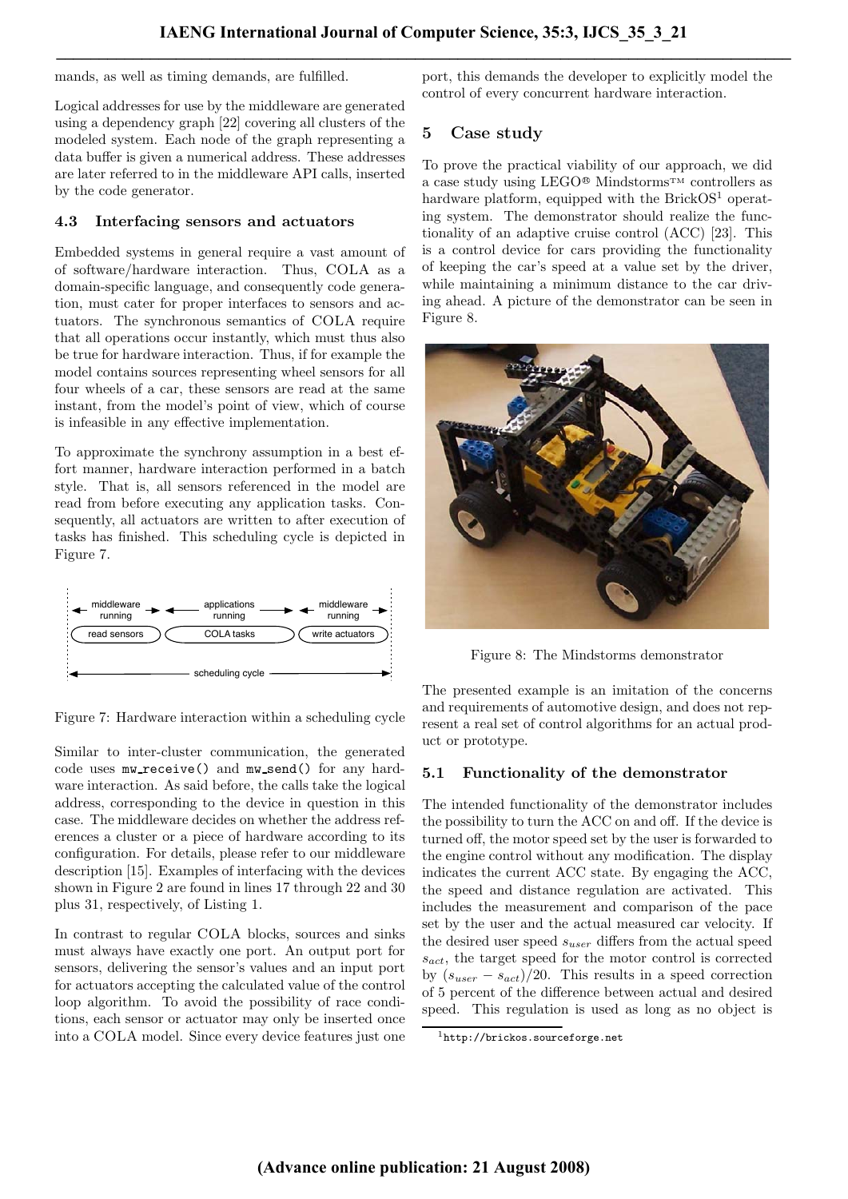# **IAENG International Journal of Computer Science, 35:3, IJCS\_35\_3\_21 \_\_\_\_\_\_\_\_\_\_\_\_\_\_\_\_\_\_\_\_\_\_\_\_\_\_\_\_\_\_\_\_\_\_\_\_\_\_\_\_\_\_\_\_\_\_\_\_\_\_\_\_\_\_\_\_\_\_\_\_\_\_\_\_\_\_\_\_\_\_\_\_\_\_\_\_\_\_\_\_\_\_\_\_\_\_**

mands, as well as timing demands, are fulfilled.

Logical addresses for use by the middleware are generated using a dependency graph [22] covering all clusters of the modeled system. Each node of the graph representing a data buffer is given a numerical address. These addresses are later referred to in the middleware API calls, inserted by the code generator.

#### **4.3 Interfacing sensors and actuators**

Embedded systems in general require a vast amount of of software/hardware interaction. Thus, COLA as a domain-specific language, and consequently code generation, must cater for proper interfaces to sensors and actuators. The synchronous semantics of COLA require that all operations occur instantly, which must thus also be true for hardware interaction. Thus, if for example the model contains sources representing wheel sensors for all four wheels of a car, these sensors are read at the same instant, from the model's point of view, which of course is infeasible in any effective implementation.

To approximate the synchrony assumption in a best effort manner, hardware interaction performed in a batch style. That is, all sensors referenced in the model are read from before executing any application tasks. Consequently, all actuators are written to after execution of tasks has finished. This scheduling cycle is depicted in Figure 7.



Figure 7: Hardware interaction within a scheduling cycle

Similar to inter-cluster communication, the generated code uses  $mw\_receive()$  and  $mw\_send()$  for any hardware interaction. As said before, the calls take the logical address, corresponding to the device in question in this case. The middleware decides on whether the address references a cluster or a piece of hardware according to its configuration. For details, please refer to our middleware description [15]. Examples of interfacing with the devices shown in Figure 2 are found in lines 17 through 22 and 30 plus 31, respectively, of Listing 1.

In contrast to regular COLA blocks, sources and sinks must always have exactly one port. An output port for sensors, delivering the sensor's values and an input port for actuators accepting the calculated value of the control loop algorithm. To avoid the possibility of race conditions, each sensor or actuator may only be inserted once into a COLA model. Since every device features just one port, this demands the developer to explicitly model the control of every concurrent hardware interaction.

# **5 Case study**

To prove the practical viability of our approach, we did a case study using LEGO<sup>®</sup> Mindstorms<sup>TM</sup> controllers as hardware platform, equipped with the Brick $OS<sup>1</sup>$  operating system. The demonstrator should realize the functionality of an adaptive cruise control (ACC) [23]. This is a control device for cars providing the functionality of keeping the car's speed at a value set by the driver, while maintaining a minimum distance to the car driving ahead. A picture of the demonstrator can be seen in Figure 8.



Figure 8: The Mindstorms demonstrator

The presented example is an imitation of the concerns and requirements of automotive design, and does not represent a real set of control algorithms for an actual product or prototype.

# **5.1 Functionality of the demonstrator**

The intended functionality of the demonstrator includes the possibility to turn the ACC on and off. If the device is turned off, the motor speed set by the user is forwarded to the engine control without any modification. The display indicates the current ACC state. By engaging the ACC, the speed and distance regulation are activated. This includes the measurement and comparison of the pace set by the user and the actual measured car velocity. If the desired user speed  $s_{user}$  differs from the actual speed  $s_{act}$ , the target speed for the motor control is corrected by  $(s_{user} - s_{act})/20$ . This results in a speed correction of 5 percent of the difference between actual and desired speed. This regulation is used as long as no object is

 $1$ http://brickos.sourceforge.net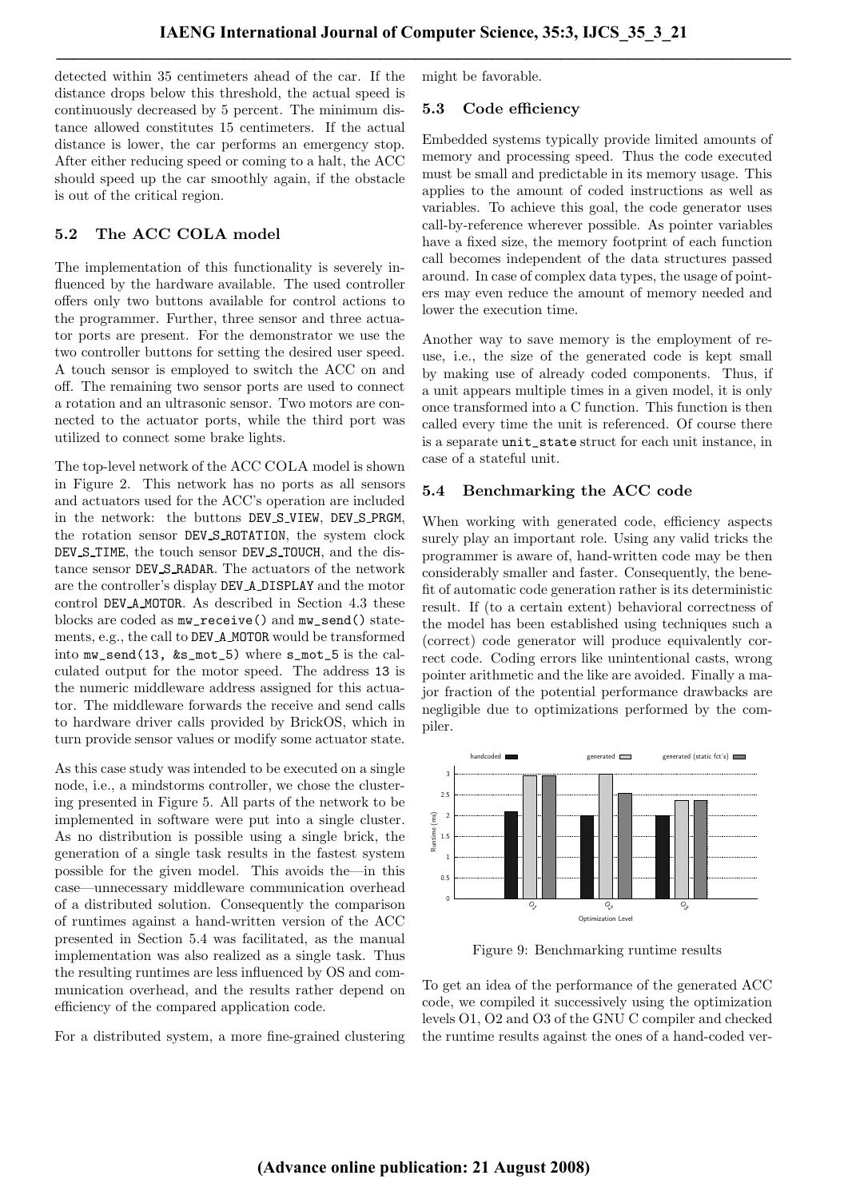detected within 35 centimeters ahead of the car. If the distance drops below this threshold, the actual speed is continuously decreased by 5 percent. The minimum distance allowed constitutes 15 centimeters. If the actual distance is lower, the car performs an emergency stop. After either reducing speed or coming to a halt, the ACC should speed up the car smoothly again, if the obstacle is out of the critical region.

# **5.2 The ACC COLA model**

The implementation of this functionality is severely influenced by the hardware available. The used controller offers only two buttons available for control actions to the programmer. Further, three sensor and three actuator ports are present. For the demonstrator we use the two controller buttons for setting the desired user speed. A touch sensor is employed to switch the ACC on and off. The remaining two sensor ports are used to connect a rotation and an ultrasonic sensor. Two motors are connected to the actuator ports, while the third port was utilized to connect some brake lights.

The top-level network of the ACC COLA model is shown in Figure 2. This network has no ports as all sensors and actuators used for the ACC's operation are included in the network: the buttons DEV S VIEW, DEV S PRGM, the rotation sensor DEV S ROTATION, the system clock DEV S TIME, the touch sensor DEV S TOUCH, and the distance sensor DEV\_S\_RADAR. The actuators of the network are the controller's display DEV A DISPLAY and the motor control DEV A MOTOR. As described in Section 4.3 these blocks are coded as mw\_receive() and mw\_send() statements, e.g., the call to DEV A MOTOR would be transformed into mw\_send(13, &s\_mot\_5) where s\_mot\_5 is the calculated output for the motor speed. The address 13 is the numeric middleware address assigned for this actuator. The middleware forwards the receive and send calls to hardware driver calls provided by BrickOS, which in turn provide sensor values or modify some actuator state.

As this case study was intended to be executed on a single node, i.e., a mindstorms controller, we chose the clustering presented in Figure 5. All parts of the network to be implemented in software were put into a single cluster. As no distribution is possible using a single brick, the generation of a single task results in the fastest system possible for the given model. This avoids the—in this case—unnecessary middleware communication overhead of a distributed solution. Consequently the comparison of runtimes against a hand-written version of the ACC presented in Section 5.4 was facilitated, as the manual implementation was also realized as a single task. Thus the resulting runtimes are less influenced by OS and communication overhead, and the results rather depend on efficiency of the compared application code.

For a distributed system, a more fine-grained clustering

might be favorable.

### **5.3 Code efficiency**

Embedded systems typically provide limited amounts of memory and processing speed. Thus the code executed must be small and predictable in its memory usage. This applies to the amount of coded instructions as well as variables. To achieve this goal, the code generator uses call-by-reference wherever possible. As pointer variables have a fixed size, the memory footprint of each function call becomes independent of the data structures passed around. In case of complex data types, the usage of pointers may even reduce the amount of memory needed and lower the execution time.

Another way to save memory is the employment of reuse, i.e., the size of the generated code is kept small by making use of already coded components. Thus, if a unit appears multiple times in a given model, it is only once transformed into a C function. This function is then called every time the unit is referenced. Of course there is a separate unit\_state struct for each unit instance, in case of a stateful unit.

#### **5.4 Benchmarking the ACC code**

When working with generated code, efficiency aspects surely play an important role. Using any valid tricks the programmer is aware of, hand-written code may be then considerably smaller and faster. Consequently, the benefit of automatic code generation rather is its deterministic result. If (to a certain extent) behavioral correctness of the model has been established using techniques such a (correct) code generator will produce equivalently correct code. Coding errors like unintentional casts, wrong pointer arithmetic and the like are avoided. Finally a major fraction of the potential performance drawbacks are negligible due to optimizations performed by the compiler.



Figure 9: Benchmarking runtime results

To get an idea of the performance of the generated ACC code, we compiled it successively using the optimization levels O1, O2 and O3 of the GNU C compiler and checked the runtime results against the ones of a hand-coded ver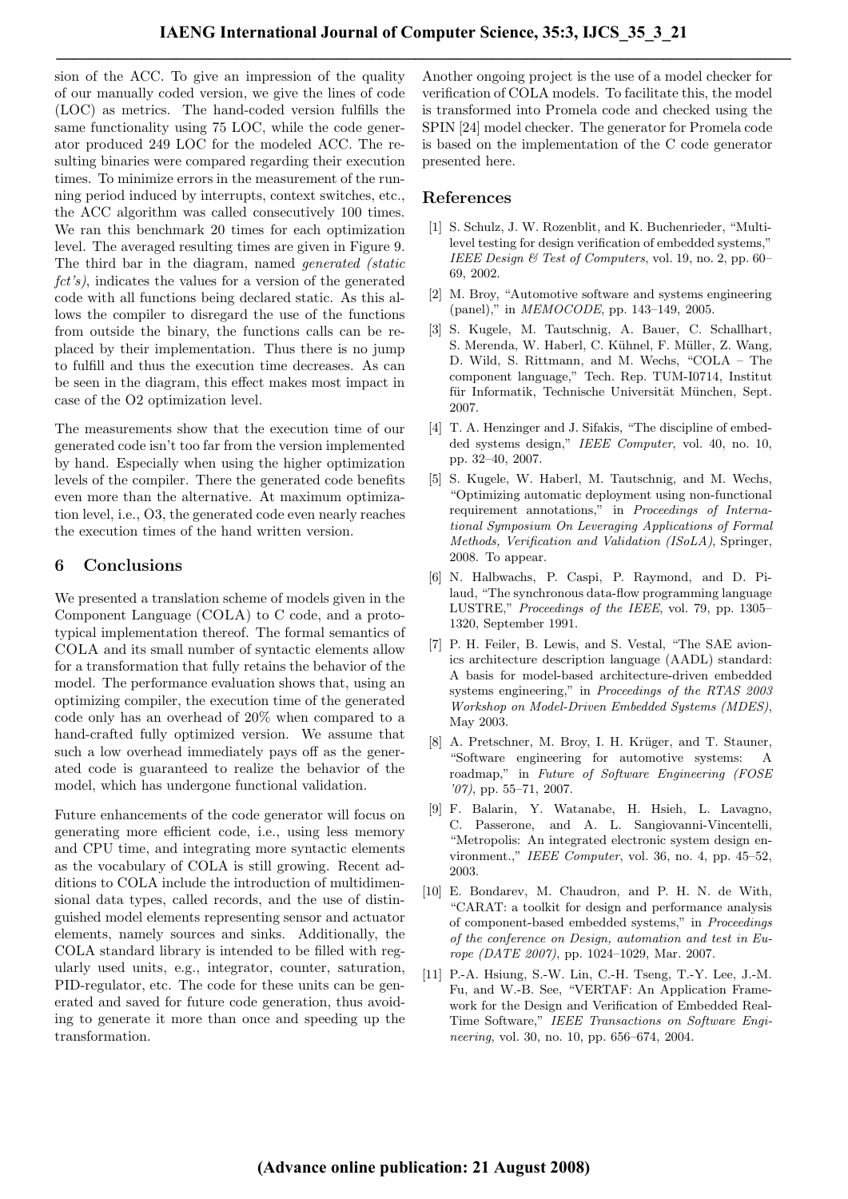sion of the ACC. To give an impression of the quality of our manually coded version, we give the lines of code (LOC) as metrics. The hand-coded version fulfills the same functionality using 75 LOC, while the code generator produced 249 LOC for the modeled ACC. The resulting binaries were compared regarding their execution times. To minimize errors in the measurement of the running period induced by interrupts, context switches, etc., the ACC algorithm was called consecutively 100 times. We ran this benchmark 20 times for each optimization level. The averaged resulting times are given in Figure 9. The third bar in the diagram, named generated (static  $fct's$ , indicates the values for a version of the generated code with all functions being declared static. As this allows the compiler to disregard the use of the functions from outside the binary, the functions calls can be replaced by their implementation. Thus there is no jump to fulfill and thus the execution time decreases. As can be seen in the diagram, this effect makes most impact in case of the O2 optimization level.

The measurements show that the execution time of our generated code isn't too far from the version implemented by hand. Especially when using the higher optimization levels of the compiler. There the generated code benefits even more than the alternative. At maximum optimization level, i.e., O3, the generated code even nearly reaches the execution times of the hand written version.

# **6 Conclusions**

We presented a translation scheme of models given in the Component Language (COLA) to C code, and a prototypical implementation thereof. The formal semantics of COLA and its small number of syntactic elements allow for a transformation that fully retains the behavior of the model. The performance evaluation shows that, using an optimizing compiler, the execution time of the generated code only has an overhead of 20% when compared to a hand-crafted fully optimized version. We assume that such a low overhead immediately pays off as the generated code is guaranteed to realize the behavior of the model, which has undergone functional validation.

Future enhancements of the code generator will focus on generating more efficient code, i.e., using less memory and CPU time, and integrating more syntactic elements as the vocabulary of COLA is still growing. Recent additions to COLA include the introduction of multidimensional data types, called records, and the use of distinguished model elements representing sensor and actuator elements, namely sources and sinks. Additionally, the COLA standard library is intended to be filled with regularly used units, e.g., integrator, counter, saturation, PID-regulator, etc. The code for these units can be generated and saved for future code generation, thus avoiding to generate it more than once and speeding up the transformation.

Another ongoing project is the use of a model checker for verification of COLA models. To facilitate this, the model is transformed into Promela code and checked using the SPIN [24] model checker. The generator for Promela code is based on the implementation of the C code generator presented here.

# **References**

- [1] S. Schulz, J. W. Rozenblit, and K. Buchenrieder, "Multilevel testing for design verification of embedded systems," IEEE Design & Test of Computers, vol. 19, no. 2, pp. 60– 69, 2002.
- [2] M. Broy, "Automotive software and systems engineering (panel)," in MEMOCODE, pp. 143–149, 2005.
- [3] S. Kugele, M. Tautschnig, A. Bauer, C. Schallhart, S. Merenda, W. Haberl, C. Kühnel, F. Müller, Z. Wang, D. Wild, S. Rittmann, and M. Wechs, "COLA – The component language," Tech. Rep. TUM-I0714, Institut für Informatik, Technische Universität München, Sept. 2007.
- [4] T. A. Henzinger and J. Sifakis, "The discipline of embedded systems design," IEEE Computer, vol. 40, no. 10, pp. 32–40, 2007.
- [5] S. Kugele, W. Haberl, M. Tautschnig, and M. Wechs, "Optimizing automatic deployment using non-functional requirement annotations," in Proceedings of International Symposium On Leveraging Applications of Formal Methods, Verification and Validation (ISoLA), Springer, 2008. To appear.
- [6] N. Halbwachs, P. Caspi, P. Raymond, and D. Pilaud, "The synchronous data-flow programming language LUSTRE," Proceedings of the IEEE, vol. 79, pp. 1305– 1320, September 1991.
- [7] P. H. Feiler, B. Lewis, and S. Vestal, "The SAE avionics architecture description language (AADL) standard: A basis for model-based architecture-driven embedded systems engineering," in Proceedings of the RTAS 2003 Workshop on Model-Driven Embedded Systems (MDES), May 2003.
- [8] A. Pretschner, M. Broy, I. H. Krüger, and T. Stauner, "Software engineering for automotive systems: A roadmap," in Future of Software Engineering (FOSE '07), pp. 55–71, 2007.
- [9] F. Balarin, Y. Watanabe, H. Hsieh, L. Lavagno, C. Passerone, and A. L. Sangiovanni-Vincentelli, "Metropolis: An integrated electronic system design environment.," IEEE Computer, vol. 36, no. 4, pp. 45–52, 2003.
- [10] E. Bondarev, M. Chaudron, and P. H. N. de With, "CARAT: a toolkit for design and performance analysis of component-based embedded systems," in Proceedings of the conference on Design, automation and test in Europe (DATE 2007), pp. 1024–1029, Mar. 2007.
- [11] P.-A. Hsiung, S.-W. Lin, C.-H. Tseng, T.-Y. Lee, J.-M. Fu, and W.-B. See, "VERTAF: An Application Framework for the Design and Verification of Embedded Real-Time Software," IEEE Transactions on Software Engineering, vol. 30, no. 10, pp. 656–674, 2004.